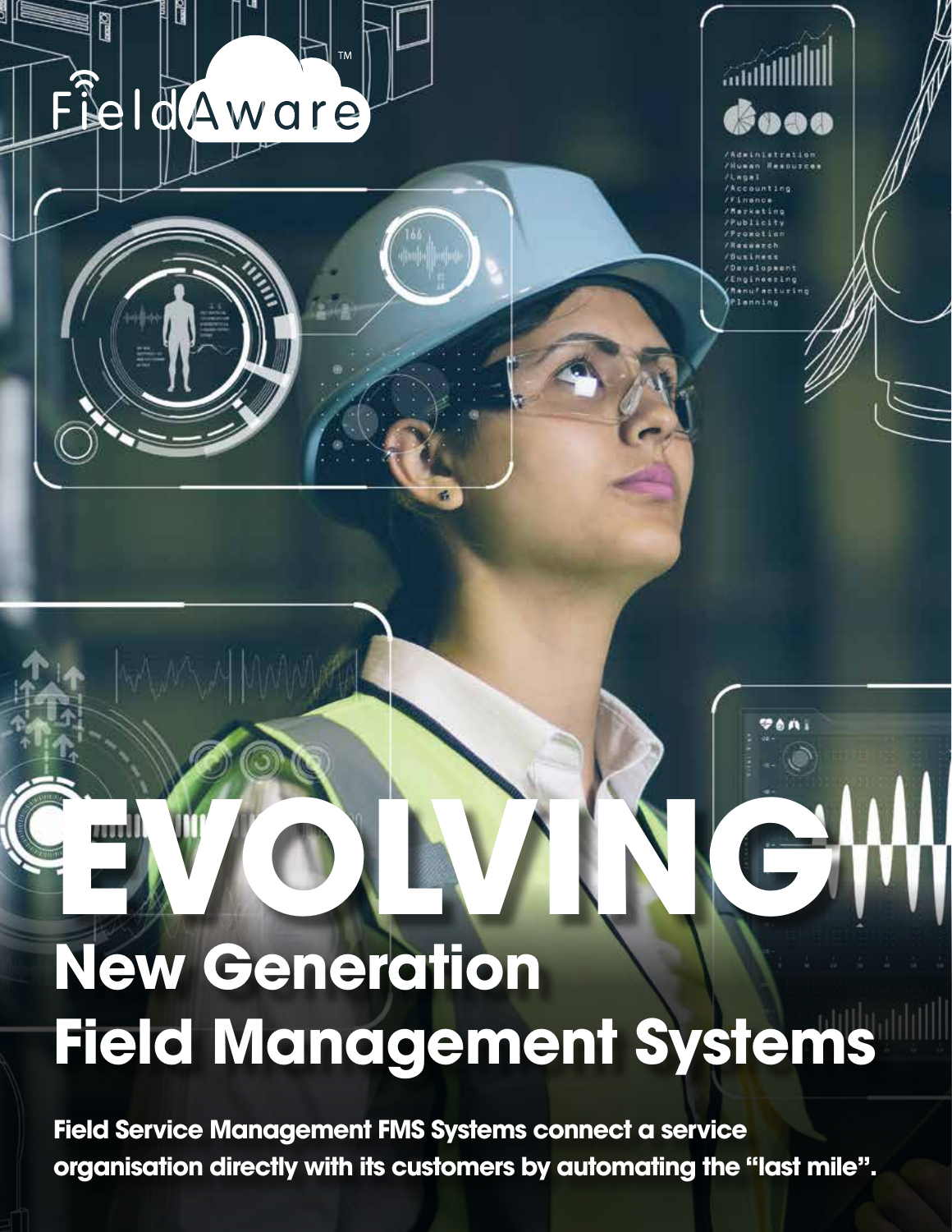

ĥ



# **EVOLVING New Generation Field Management Systems**

**Field Service Management FMS Systems connect a service organisation directly with its customers by automating the "last mile".**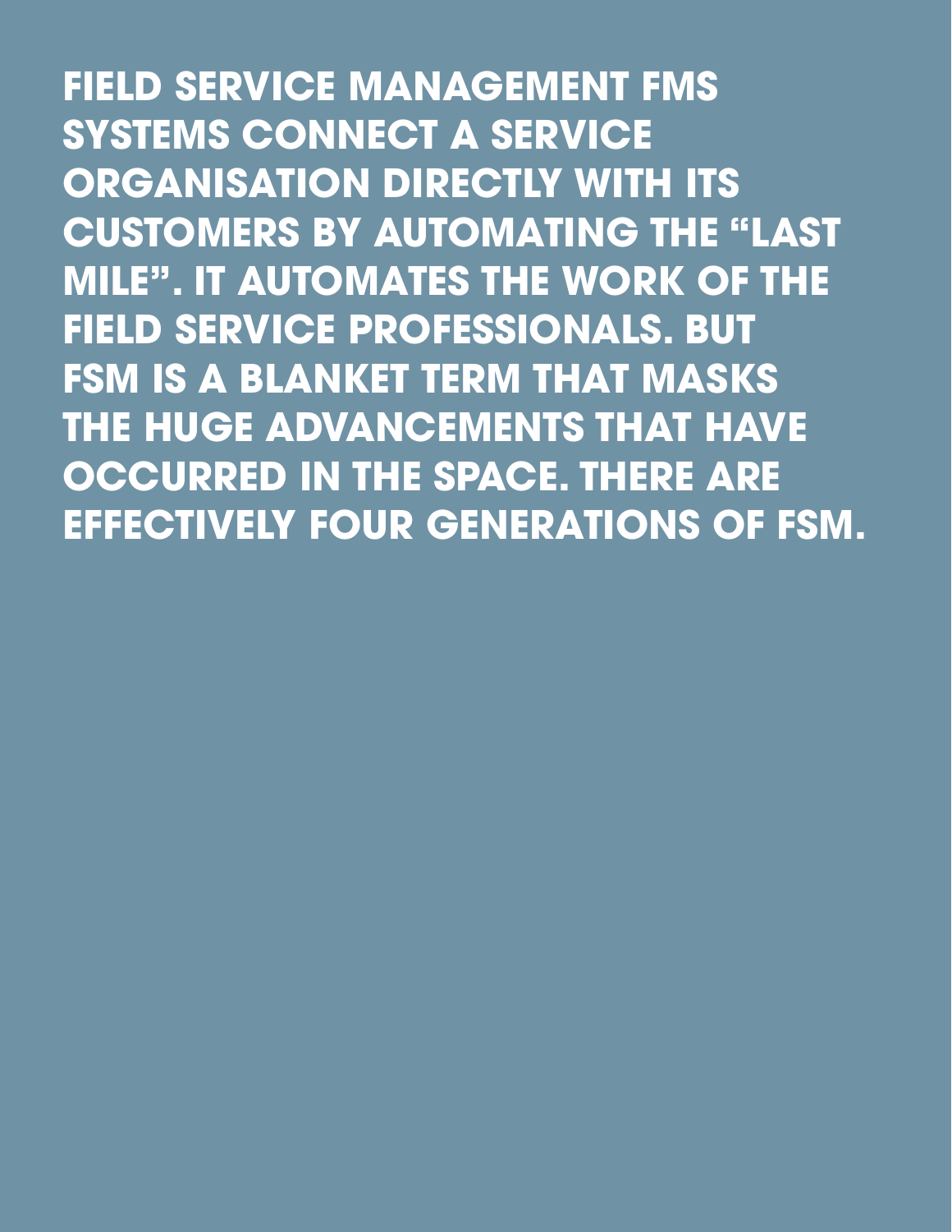**FIELD SERVICE MANAGEMENT FMS SYSTEMS CONNECT A SERVICE ORGANISATION DIRECTLY WITH ITS CUSTOMERS BY AUTOMATING THE "LAST MILE". IT AUTOMATES THE WORK OF THE FIELD SERVICE PROFESSIONALS. BUT FSM IS A BLANKET TERM THAT MASKS THE HUGE ADVANCEMENTS THAT HAVE OCCURRED IN THE SPACE. THERE ARE EFFECTIVELY FOUR GENERATIONS OF FSM.**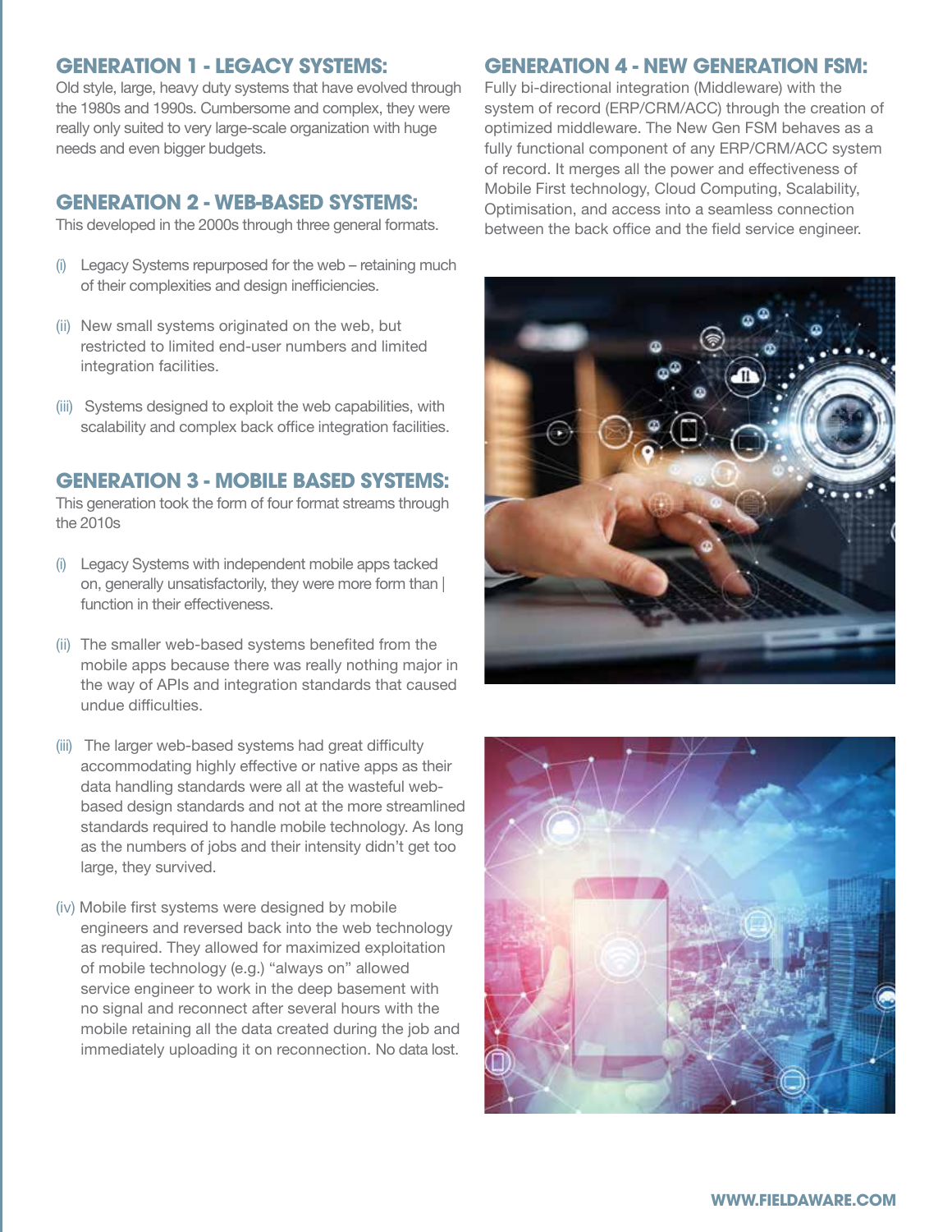#### **GENERATION 1 - LEGACY SYSTEMS:**

Old style, large, heavy duty systems that have evolved through the 1980s and 1990s. Cumbersome and complex, they were really only suited to very large-scale organization with huge needs and even bigger budgets.

#### **GENERATION 2 - WEB-BASED SYSTEMS:**

This developed in the 2000s through three general formats.

- (i) Legacy Systems repurposed for the web retaining much of their complexities and design inefficiencies.
- (ii) New small systems originated on the web, but restricted to limited end-user numbers and limited integration facilities.
- (iii) Systems designed to exploit the web capabilities, with scalability and complex back office integration facilities.

#### **GENERATION 3 - MOBILE BASED SYSTEMS:**

This generation took the form of four format streams through the 2010s

- (i) Legacy Systems with independent mobile apps tacked on, generally unsatisfactorily, they were more form than | function in their effectiveness.
- (ii) The smaller web-based systems benefited from the mobile apps because there was really nothing major in the way of APIs and integration standards that caused undue difficulties.
- (iii) The larger web-based systems had great difficulty accommodating highly effective or native apps as their data handling standards were all at the wasteful webbased design standards and not at the more streamlined standards required to handle mobile technology. As long as the numbers of jobs and their intensity didn't get too large, they survived.
- (iv) Mobile first systems were designed by mobile engineers and reversed back into the web technology as required. They allowed for maximized exploitation of mobile technology (e.g.) "always on" allowed service engineer to work in the deep basement with no signal and reconnect after several hours with the mobile retaining all the data created during the job and immediately uploading it on reconnection. No data lost.

#### **GENERATION 4 - NEW GENERATION FSM:**

Fully bi-directional integration (Middleware) with the system of record (ERP/CRM/ACC) through the creation of optimized middleware. The New Gen FSM behaves as a fully functional component of any ERP/CRM/ACC system of record. It merges all the power and effectiveness of Mobile First technology, Cloud Computing, Scalability, Optimisation, and access into a seamless connection between the back office and the field service engineer.



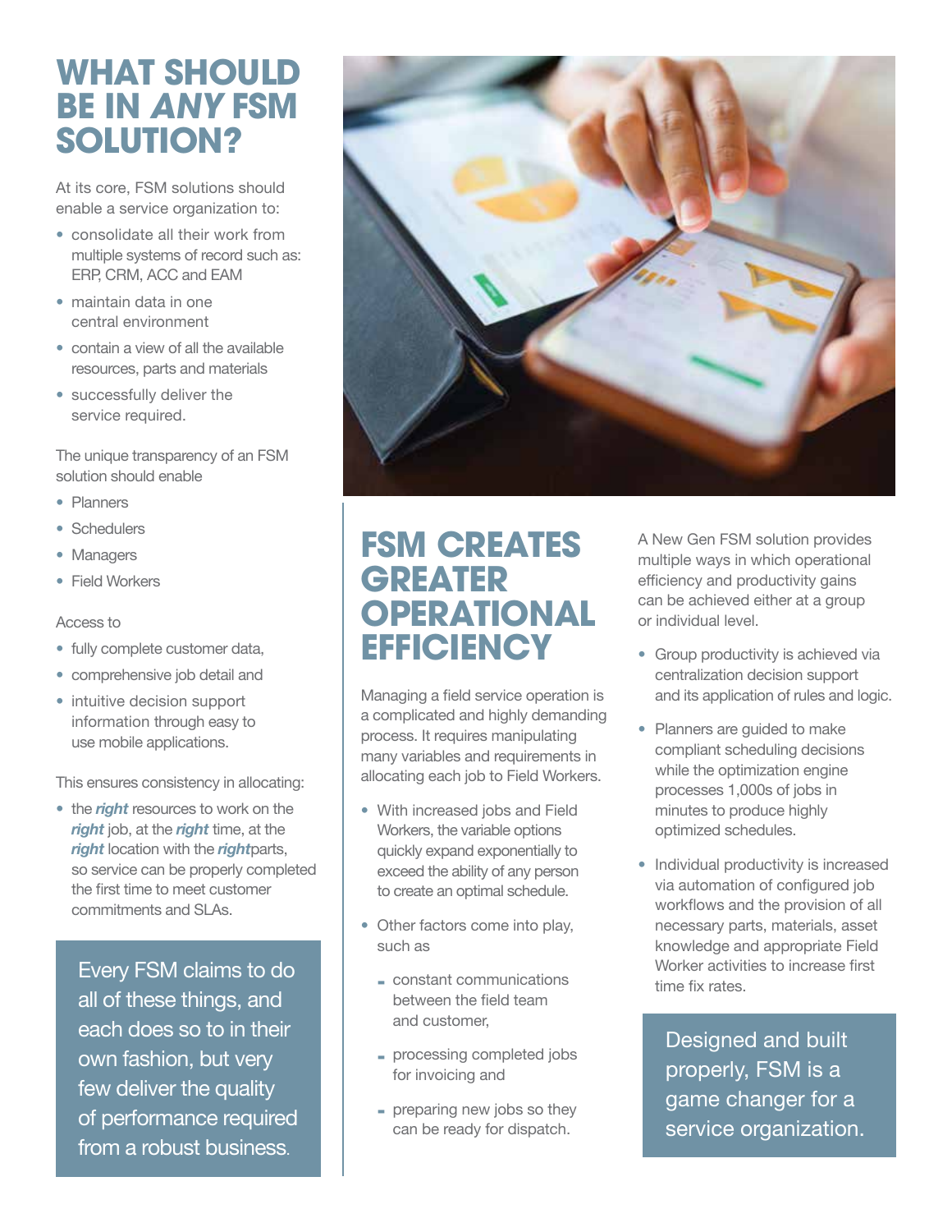### **WHAT SHOULD BE IN ANY FSM SOLUTION?**

At its core, FSM solutions should enable a service organization to:

- consolidate all their work from multiple systems of record such as: ERP, CRM, ACC and EAM
- maintain data in one central environment
- contain a view of all the available resources, parts and materials
- successfully deliver the service required.

The unique transparency of an FSM solution should enable

- Planners
- Schedulers
- Managers
- Field Workers

#### Access to

- fully complete customer data,
- comprehensive job detail and
- intuitive decision support information through easy to use mobile applications.

This ensures consistency in allocating:

• the *right* resources to work on the *right* job, at the *right* time, at the *right* location with the *right*parts, so service can be properly completed the first time to meet customer commitments and SLAs.

Every FSM claims to do all of these things, and each does so to in their own fashion, but very few deliver the quality of performance required from a robust business.



### **FSM CREATES GREATER OPERATIONAL EFFICIENCY**

Managing a field service operation is a complicated and highly demanding process. It requires manipulating many variables and requirements in allocating each job to Field Workers.

- With increased jobs and Field Workers, the variable options quickly expand exponentially to exceed the ability of any person to create an optimal schedule.
- Other factors come into play, such as
	- constant communications between the field team and customer,
	- processing completed jobs for invoicing and
	- preparing new jobs so they can be ready for dispatch.

A New Gen FSM solution provides multiple ways in which operational efficiency and productivity gains can be achieved either at a group or individual level.

- Group productivity is achieved via centralization decision support and its application of rules and logic.
- Planners are guided to make compliant scheduling decisions while the optimization engine processes 1,000s of jobs in minutes to produce highly optimized schedules.
- Individual productivity is increased via automation of configured job workflows and the provision of all necessary parts, materials, asset knowledge and appropriate Field Worker activities to increase first time fix rates.

Designed and built properly, FSM is a game changer for a service organization.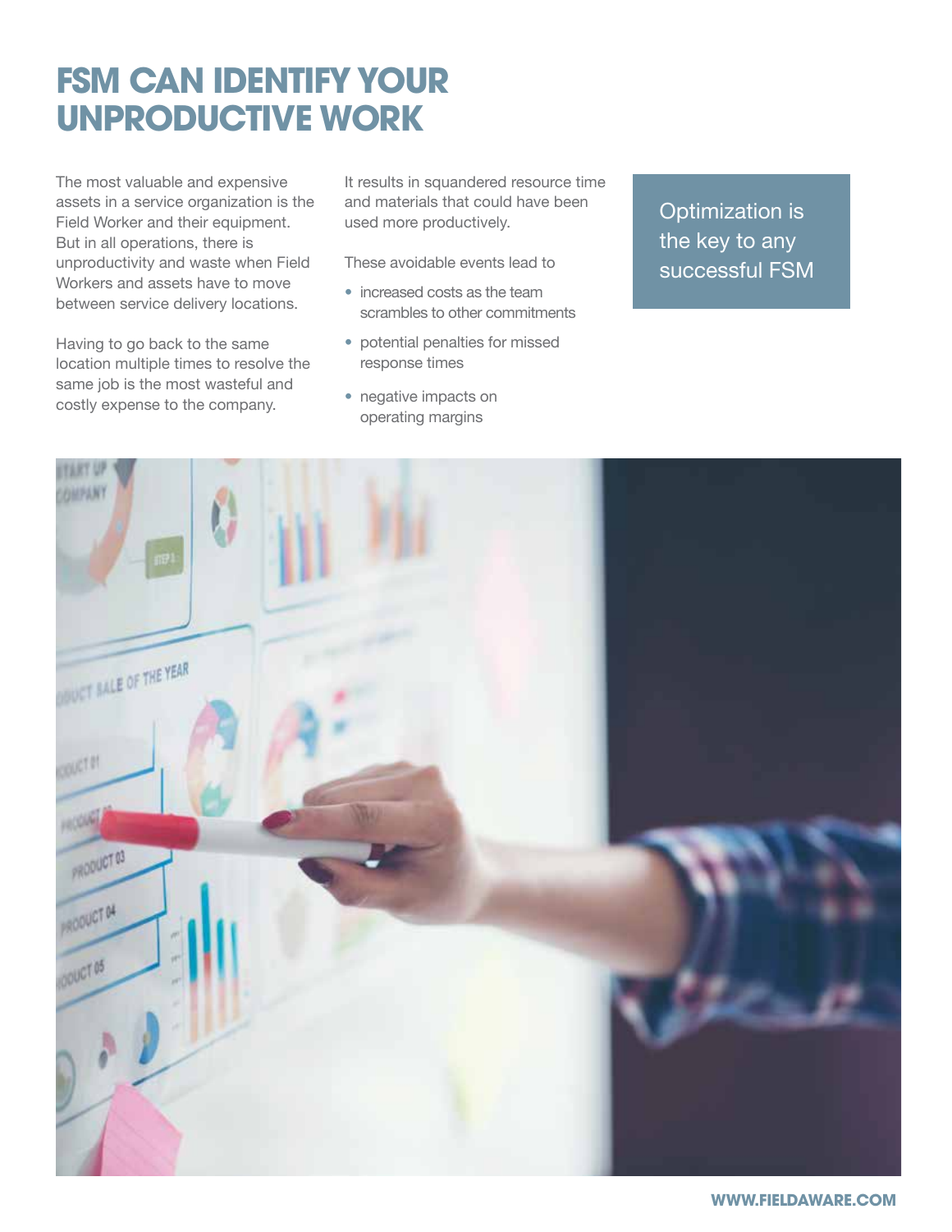# **FSM CAN IDENTIFY YOUR UNPRODUCTIVE WORK**

The most valuable and expensive assets in a service organization is the Field Worker and their equipment. But in all operations, there is unproductivity and waste when Field Workers and assets have to move between service delivery locations.

Having to go back to the same location multiple times to resolve the same job is the most wasteful and costly expense to the company.

It results in squandered resource time and materials that could have been used more productively.

These avoidable events lead to

- increased costs as the team scrambles to other commitments
- potential penalties for missed response times
- negative impacts on operating margins

Optimization is the key to any successful FSM

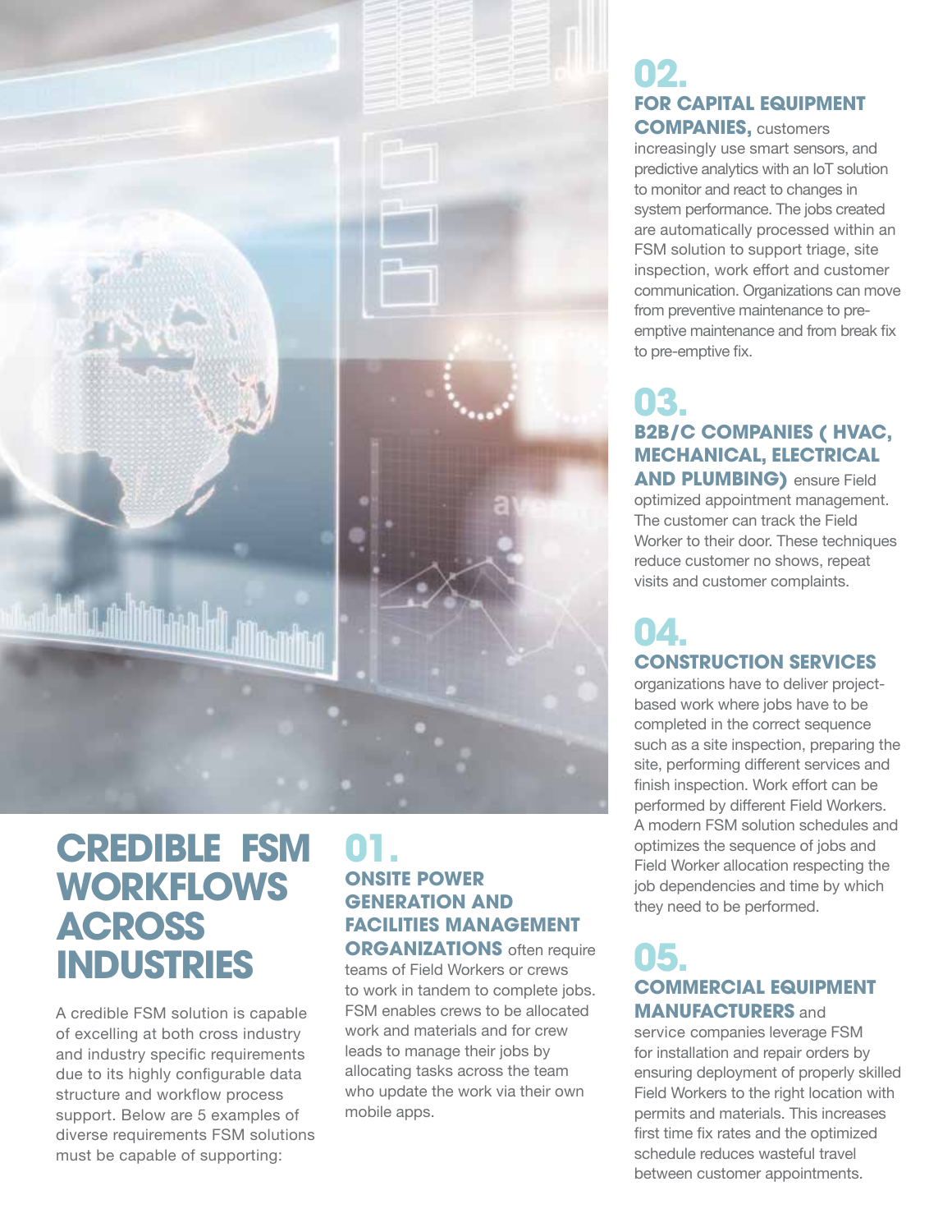

### **CREDIBLE FSM WORKFLOWS ACROSS INDUSTRIES**

A credible FSM solution is capable of excelling at both cross industry and industry specific requirements due to its highly configurable data structure and workflow process support. Below are 5 examples of diverse requirements FSM solutions must be capable of supporting:

#### **01. ONSITE POWER GENERATION AND FACILITIES MANAGEMENT ORGANIZATIONS** often require

teams of Field Workers or crews to work in tandem to complete jobs. FSM enables crews to be allocated work and materials and for crew leads to manage their jobs by allocating tasks across the team who update the work via their own mobile apps.

#### **02. FOR CAPITAL EQUIPMENT COMPANIES,** customers

increasingly use smart sensors, and predictive analytics with an IoT solution to monitor and react to changes in system performance. The jobs created are automatically processed within an FSM solution to support triage, site inspection, work effort and customer communication. Organizations can move from preventive maintenance to preemptive maintenance and from break fix to pre-emptive fix.

### **03. B2B/C COMPANIES ( HVAC, MECHANICAL, ELECTRICAL AND PLUMBING)** ensure Field

optimized appointment management. The customer can track the Field Worker to their door. These techniques reduce customer no shows, repeat visits and customer complaints.

### **04. CONSTRUCTION SERVICES**

organizations have to deliver projectbased work where jobs have to be completed in the correct sequence such as a site inspection, preparing the site, performing different services and finish inspection. Work effort can be performed by different Field Workers. A modern FSM solution schedules and optimizes the sequence of jobs and Field Worker allocation respecting the job dependencies and time by which they need to be performed.

### **05. COMMERCIAL EQUIPMENT MANUFACTURERS** and

service companies leverage FSM for installation and repair orders by ensuring deployment of properly skilled Field Workers to the right location with permits and materials. This increases first time fix rates and the optimized schedule reduces wasteful travel between customer appointments.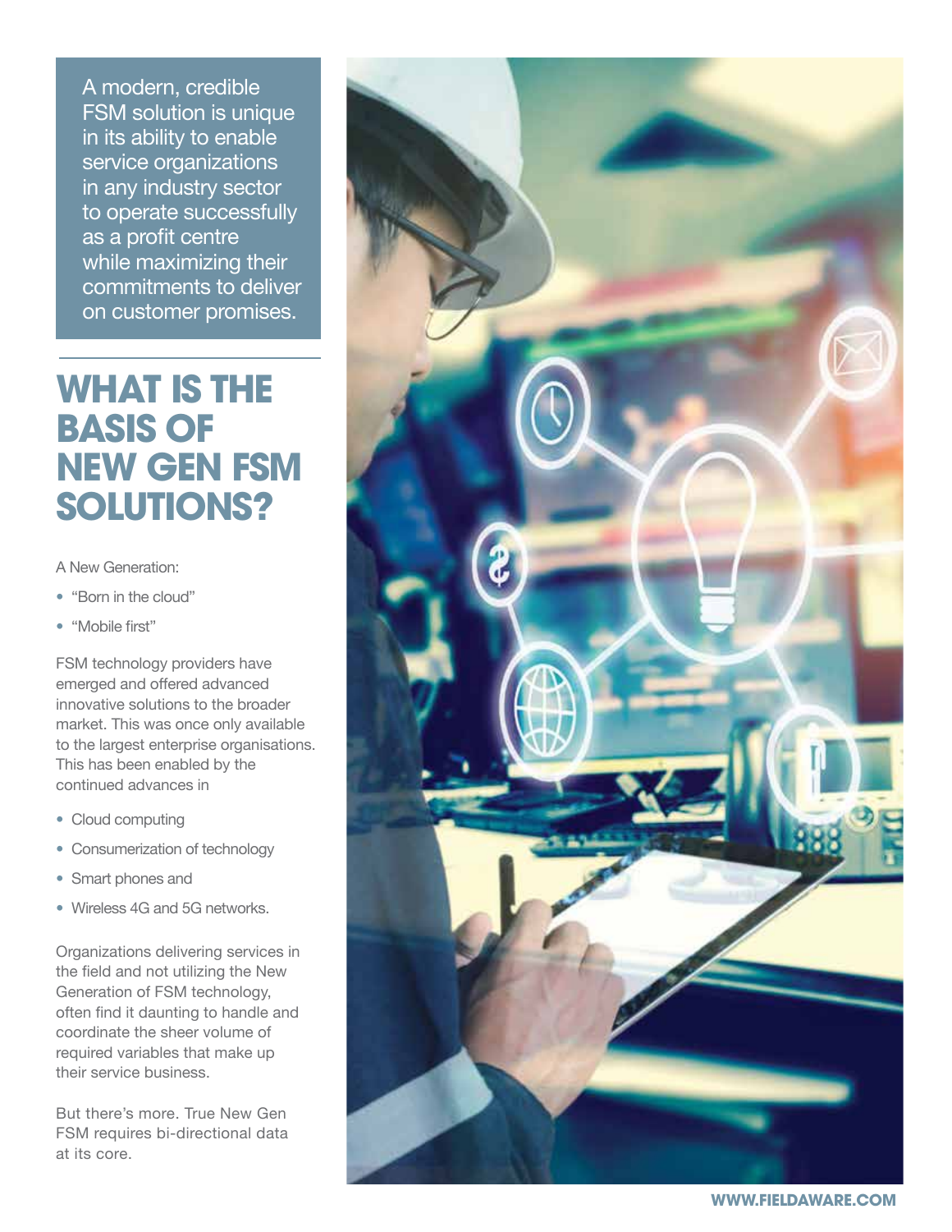A modern, credible FSM solution is unique in its ability to enable service organizations in any industry sector to operate successfully as a profit centre while maximizing their commitments to deliver on customer promises.

# **WHAT IS THE BASIS OF NEW GEN FSM SOLUTIONS?**

A New Generation:

- "Born in the cloud"
- "Mobile first"

FSM technology providers have emerged and offered advanced innovative solutions to the broader market. This was once only available to the largest enterprise organisations. This has been enabled by the continued advances in

- Cloud computing
- Consumerization of technology
- Smart phones and
- Wireless 4G and 5G networks.

Organizations delivering services in the field and not utilizing the New Generation of FSM technology, often find it daunting to handle and coordinate the sheer volume of required variables that make up their service business.

But there's more. True New Gen FSM requires bi-directional data at its core.

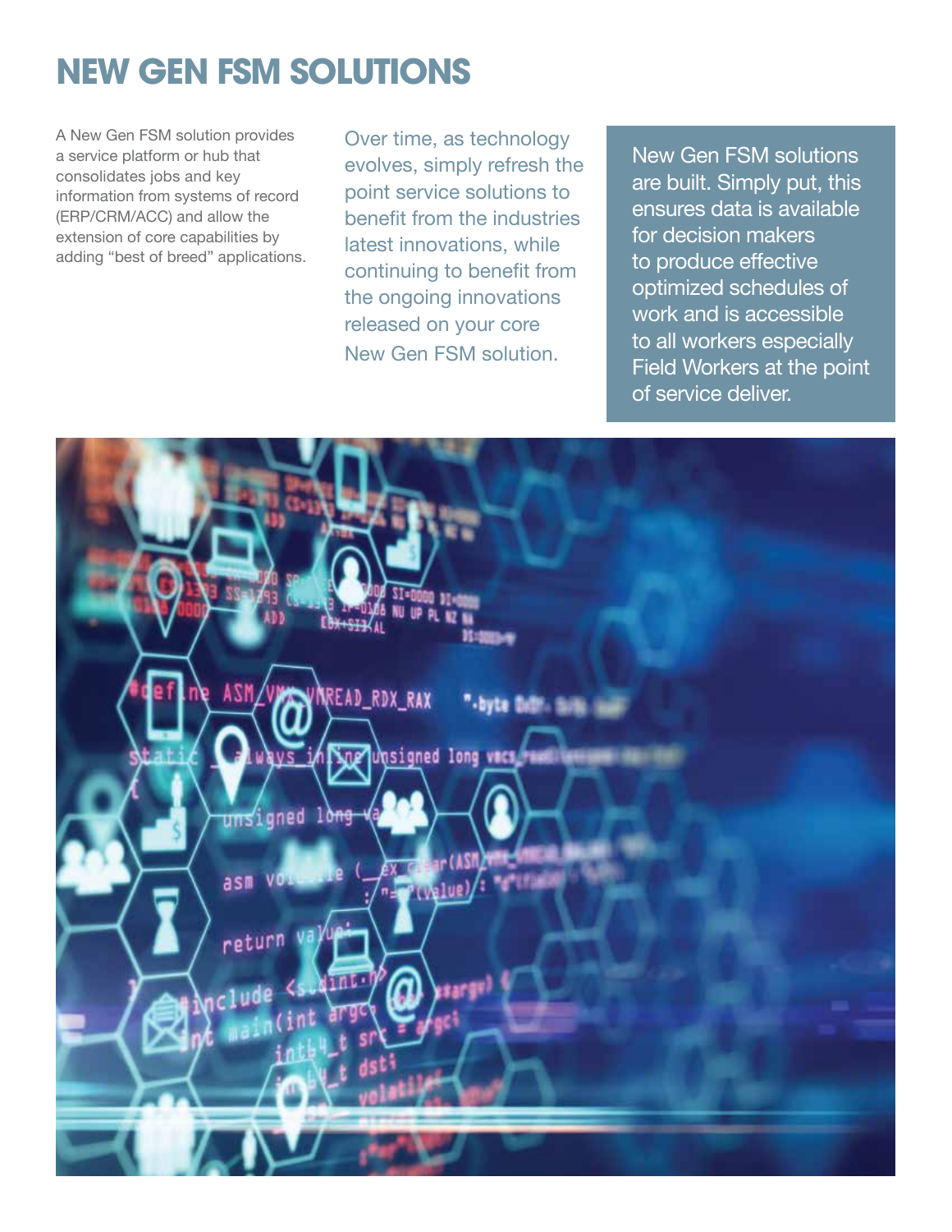# **NEW GEN FSM SOLUTIONS**

A New Gen FSM solution provides a service platform or hub that consolidates jobs and key information from systems of record (ERP/CRM/ACC) and allow the extension of core capabilities by adding "best of breed" applications.

Over time, as technology evolves, simply refresh the point service solutions to benefit from the industries latest innovations, while continuing to benefit from the ongoing innovations released on your core New Gen FSM solution.

New Gen FSM solutions are built. Simply put, this ensures data is available for decision makers to produce effective optimized schedules of work and is accessible to all workers especially Field Workers at the point of service deliver.

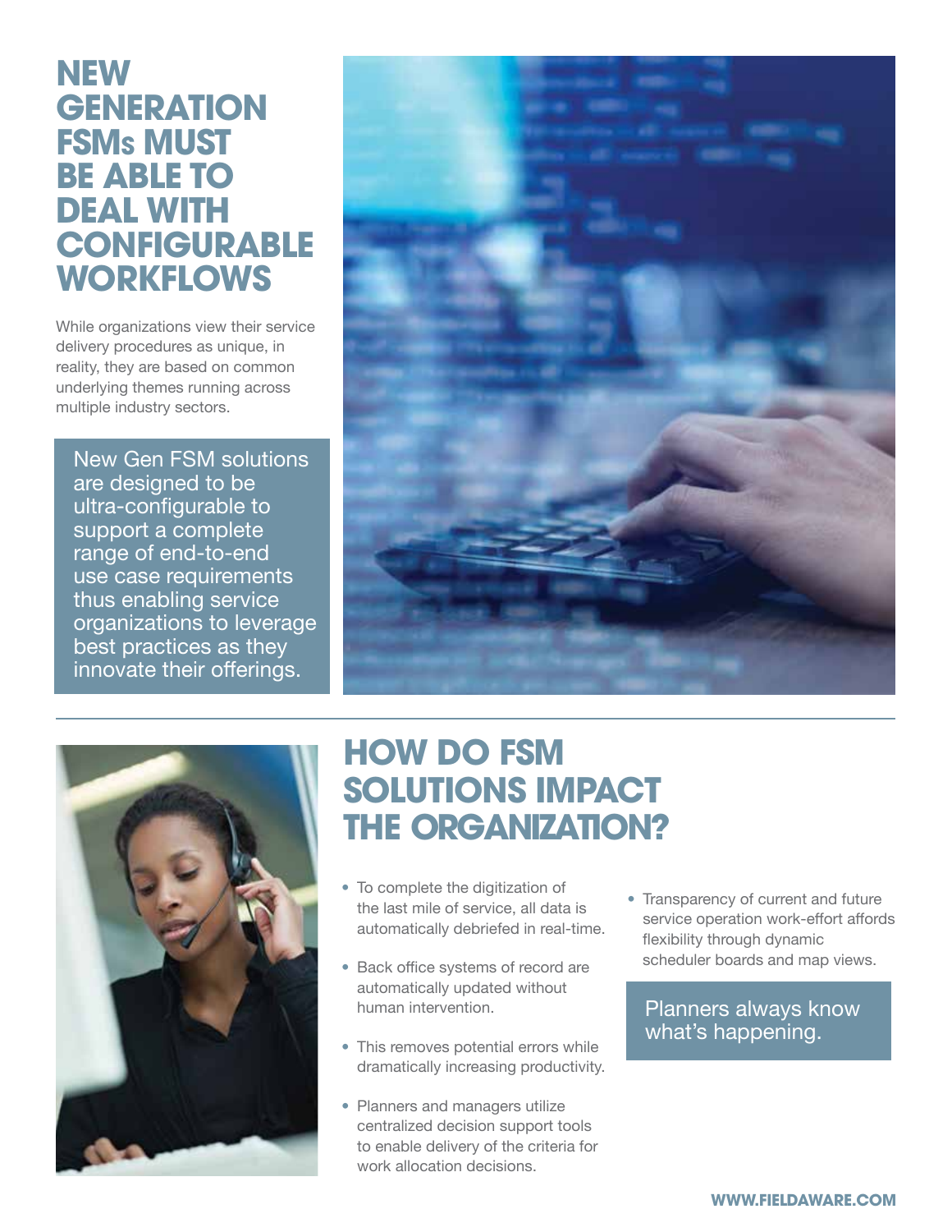### **NEW GENERATION FSMs MUST BE ABLE TO DEAL WITH CONFIGURABLE WORKFLOWS**

While organizations view their service delivery procedures as unique, in reality, they are based on common underlying themes running across multiple industry sectors.

New Gen FSM solutions are designed to be ultra-configurable to support a complete range of end-to-end use case requirements thus enabling service organizations to leverage best practices as they innovate their offerings.





## **HOW DO FSM SOLUTIONS IMPACT THE ORGANIZATION?**

- To complete the digitization of the last mile of service, all data is automatically debriefed in real-time.
- Back office systems of record are automatically updated without human intervention.
- This removes potential errors while dramatically increasing productivity.
- Planners and managers utilize centralized decision support tools to enable delivery of the criteria for work allocation decisions.

• Transparency of current and future service operation work-effort affords flexibility through dynamic scheduler boards and map views.

Planners always know what's happening.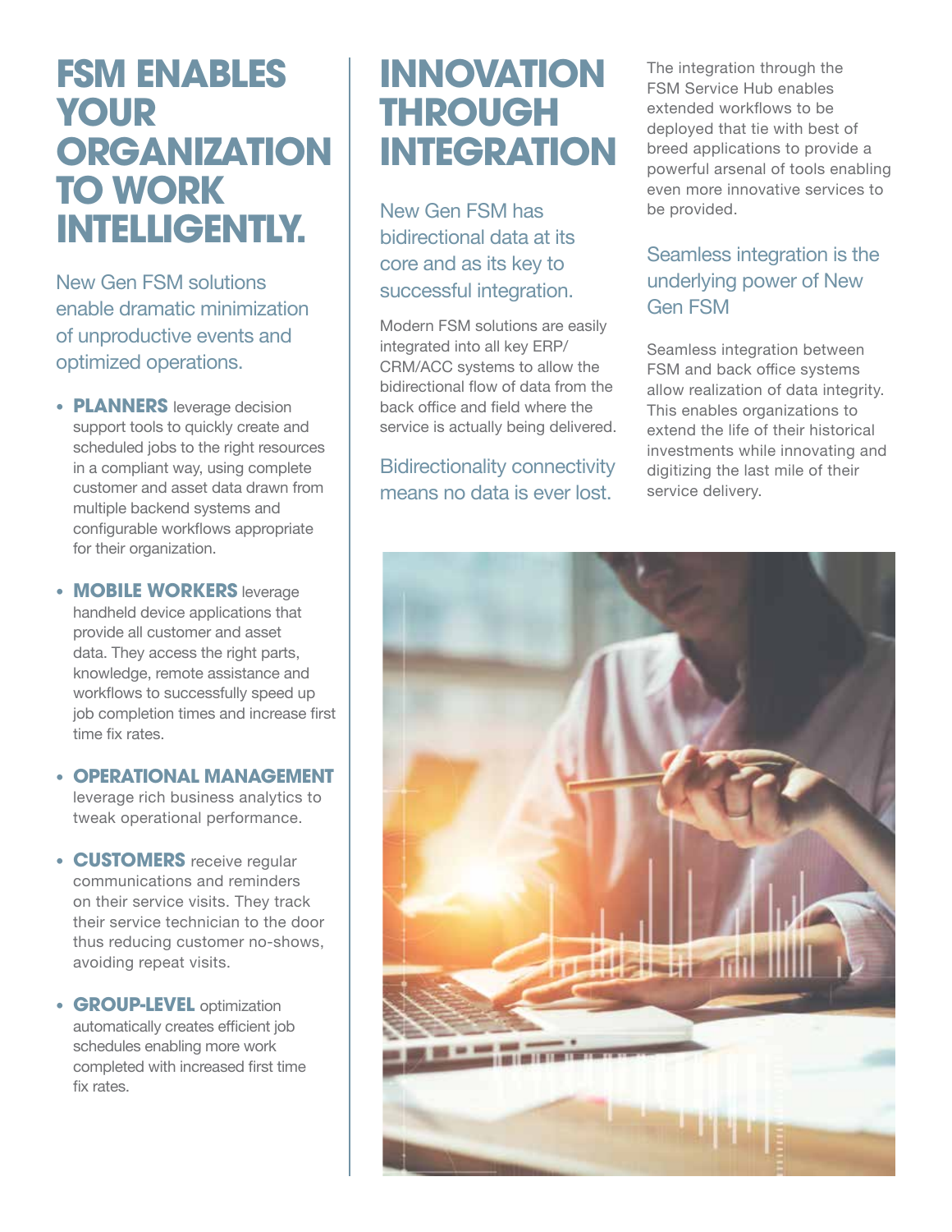# **FSM ENABLES YOUR ORGANIZATION TO WORK INTELLIGENTLY.**

New Gen FSM solutions enable dramatic minimization of unproductive events and optimized operations.

- **PLANNERS** leverage decision support tools to quickly create and scheduled jobs to the right resources in a compliant way, using complete customer and asset data drawn from multiple backend systems and configurable workflows appropriate for their organization.
- **MOBILE WORKERS** leverage handheld device applications that provide all customer and asset data. They access the right parts, knowledge, remote assistance and workflows to successfully speed up job completion times and increase first time fix rates.
- **OPERATIONAL MANAGEMENT** leverage rich business analytics to tweak operational performance.
- **CUSTOMERS** receive regular communications and reminders on their service visits. They track their service technician to the door thus reducing customer no-shows, avoiding repeat visits.
- **GROUP-LEVEL** optimization automatically creates efficient job schedules enabling more work completed with increased first time fix rates.

# **INNOVATION THROUGH INTEGRATION**

New Gen FSM has bidirectional data at its core and as its key to successful integration.

Modern FSM solutions are easily integrated into all key ERP/ CRM/ACC systems to allow the bidirectional flow of data from the back office and field where the service is actually being delivered.

#### Bidirectionality connectivity means no data is ever lost.

The integration through the FSM Service Hub enables extended workflows to be deployed that tie with best of breed applications to provide a powerful arsenal of tools enabling even more innovative services to be provided.

### Seamless integration is the underlying power of New Gen FSM

Seamless integration between FSM and back office systems allow realization of data integrity. This enables organizations to extend the life of their historical investments while innovating and digitizing the last mile of their service delivery.

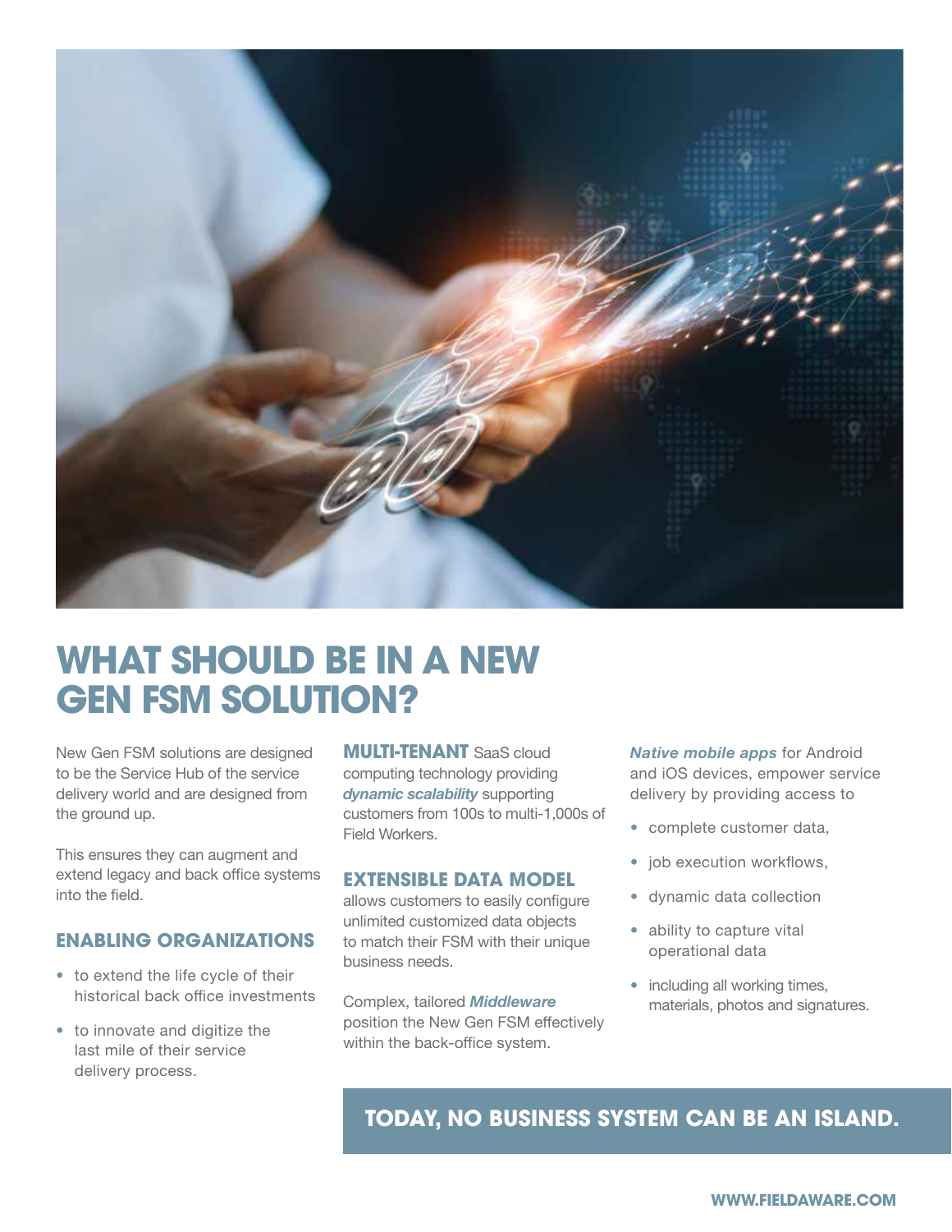

# **WHAT SHOULD BE IN A NEW GEN FSM SOLUTION?**

New Gen FSM solutions are designed to be the Service Hub of the service delivery world and are designed from the ground up.

This ensures they can augment and extend legacy and back office systems into the field.

#### **ENABLING ORGANIZATIONS**

- to extend the life cycle of their historical back office investments
- to innovate and digitize the last mile of their service delivery process.

**MULTI-TENANT** SaaS cloud computing technology providing *dynamic scalability* supporting customers from 100s to multi-1,000s of Field Workers.

#### **EXTENSIBLE DATA MODEL**

allows customers to easily configure unlimited customized data objects to match their FSM with their unique business needs.

Complex, tailored *Middleware*  position the New Gen FSM effectively within the back-office system.

*Native mobile apps* for Android and iOS devices, empower service delivery by providing access to

- complete customer data,
- job execution workflows,
- dynamic data collection
- ability to capture vital operational data
- including all working times, materials, photos and signatures.

### **TODAY, NO BUSINESS SYSTEM CAN BE AN ISLAND.**